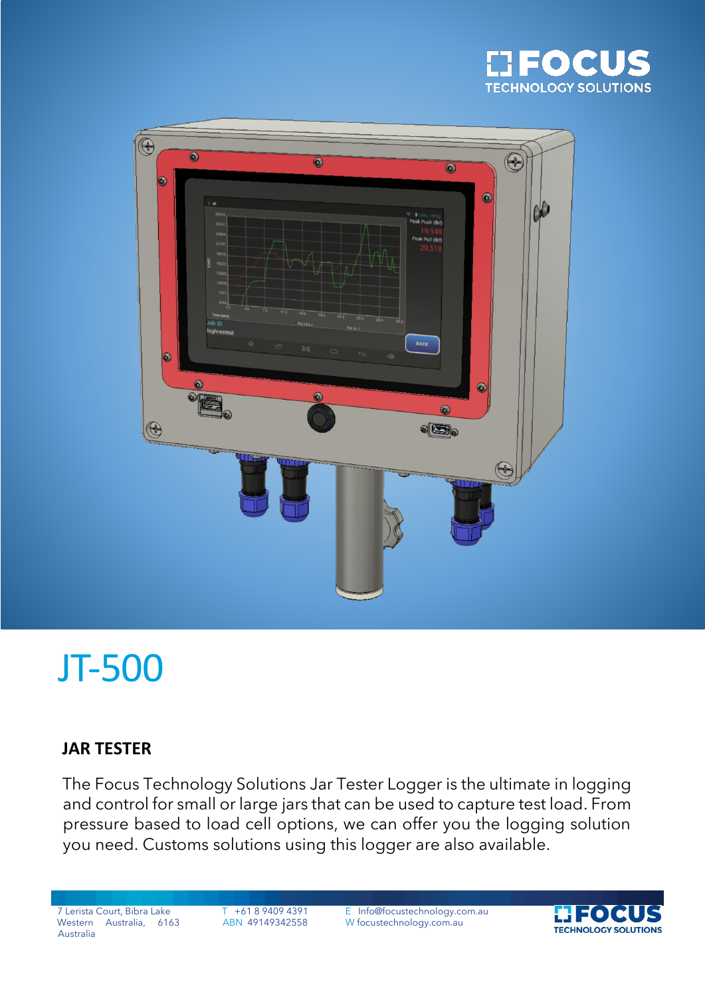



# JT-500

### **JAR TESTER**

The Focus Technology Solutions Jar Tester Logger is the ultimate in logging and control for small or large jars that can be used to capture test load. From pressure based to load cell options, we can offer you the logging solution you need. Customs solutions using this logger are also available.

Western Australia, 6163 Australia

7 Lerista Court, Bibra Lake T +61 8 9409 4391 E Info@focustechnology.com.au ABN 49149342558 W focustechnology.com.au